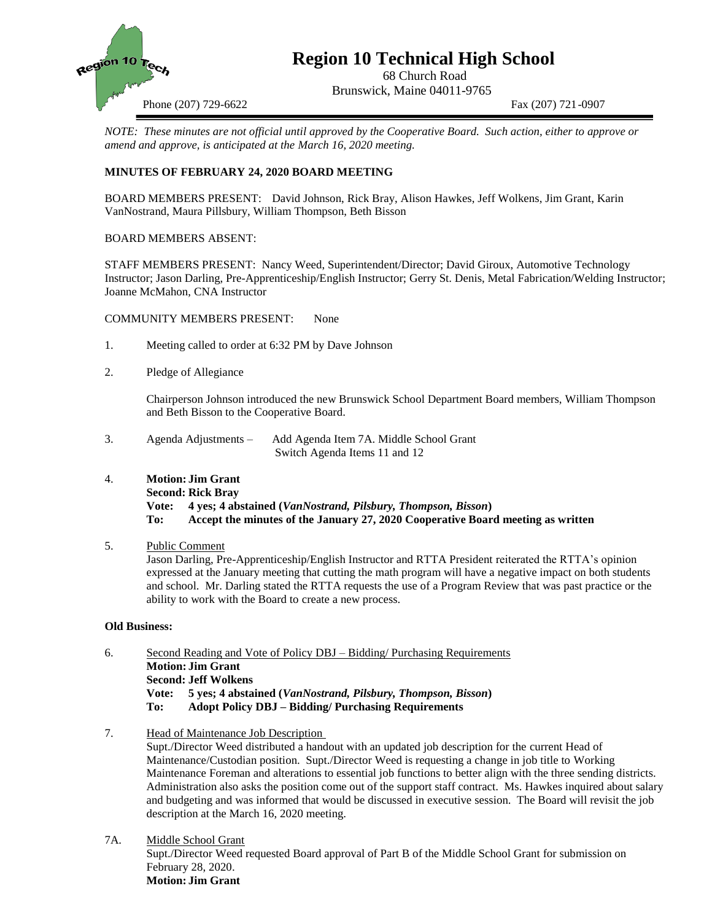

# **Region 10 Technical High School**

68 Church Road Brunswick, Maine 04011-9765

Phone (207) 729-6622 Fax (207) 721-0907

*NOTE: These minutes are not official until approved by the Cooperative Board. Such action, either to approve or amend and approve, is anticipated at the March 16, 2020 meeting.*

## **MINUTES OF FEBRUARY 24, 2020 BOARD MEETING**

BOARD MEMBERS PRESENT: David Johnson, Rick Bray, Alison Hawkes, Jeff Wolkens, Jim Grant, Karin VanNostrand, Maura Pillsbury, William Thompson, Beth Bisson

#### BOARD MEMBERS ABSENT:

STAFF MEMBERS PRESENT: Nancy Weed, Superintendent/Director; David Giroux, Automotive Technology Instructor; Jason Darling, Pre-Apprenticeship/English Instructor; Gerry St. Denis, Metal Fabrication/Welding Instructor; Joanne McMahon, CNA Instructor

COMMUNITY MEMBERS PRESENT: None

- 1. Meeting called to order at 6:32 PM by Dave Johnson
- 2. Pledge of Allegiance

Chairperson Johnson introduced the new Brunswick School Department Board members, William Thompson and Beth Bisson to the Cooperative Board.

- 3. Agenda Adjustments Add Agenda Item 7A. Middle School Grant Switch Agenda Items 11 and 12
- 4. **Motion: Jim Grant**

## **Second: Rick Bray**

**Vote: 4 yes; 4 abstained (***VanNostrand, Pilsbury, Thompson, Bisson***) To: Accept the minutes of the January 27, 2020 Cooperative Board meeting as written**

### 5. Public Comment

Jason Darling, Pre-Apprenticeship/English Instructor and RTTA President reiterated the RTTA's opinion expressed at the January meeting that cutting the math program will have a negative impact on both students and school. Mr. Darling stated the RTTA requests the use of a Program Review that was past practice or the ability to work with the Board to create a new process.

#### **Old Business:**

- 6. Second Reading and Vote of Policy DBJ Bidding/ Purchasing Requirements **Motion: Jim Grant Second: Jeff Wolkens Vote: 5 yes; 4 abstained (***VanNostrand, Pilsbury, Thompson, Bisson***) To: Adopt Policy DBJ – Bidding/ Purchasing Requirements**
- 7. Head of Maintenance Job Description

Supt./Director Weed distributed a handout with an updated job description for the current Head of Maintenance/Custodian position. Supt./Director Weed is requesting a change in job title to Working Maintenance Foreman and alterations to essential job functions to better align with the three sending districts. Administration also asks the position come out of the support staff contract. Ms. Hawkes inquired about salary and budgeting and was informed that would be discussed in executive session. The Board will revisit the job description at the March 16, 2020 meeting.

7A. Middle School Grant Supt./Director Weed requested Board approval of Part B of the Middle School Grant for submission on February 28, 2020. **Motion: Jim Grant**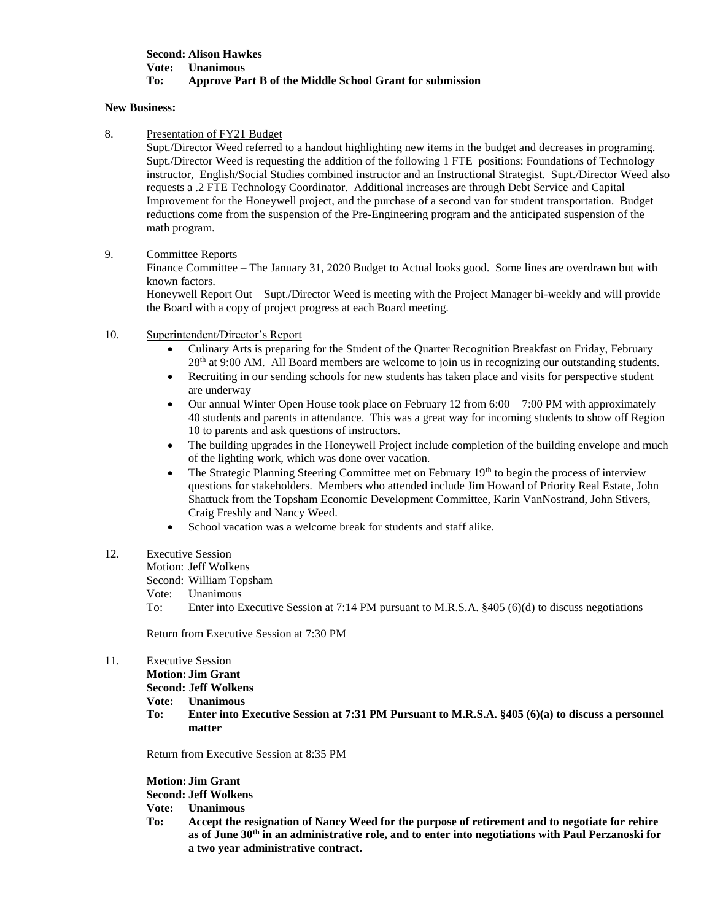#### **Second: Alison Hawkes Vote: Unanimous To: Approve Part B of the Middle School Grant for submission**

#### **New Business:**

8. Presentation of FY21 Budget

Supt./Director Weed referred to a handout highlighting new items in the budget and decreases in programing. Supt./Director Weed is requesting the addition of the following 1 FTE positions: Foundations of Technology instructor, English/Social Studies combined instructor and an Instructional Strategist. Supt./Director Weed also requests a .2 FTE Technology Coordinator. Additional increases are through Debt Service and Capital Improvement for the Honeywell project, and the purchase of a second van for student transportation. Budget reductions come from the suspension of the Pre-Engineering program and the anticipated suspension of the math program.

### 9. Committee Reports

Finance Committee – The January 31, 2020 Budget to Actual looks good. Some lines are overdrawn but with known factors.

Honeywell Report Out – Supt./Director Weed is meeting with the Project Manager bi-weekly and will provide the Board with a copy of project progress at each Board meeting.

- 10. Superintendent/Director's Report
	- Culinary Arts is preparing for the Student of the Quarter Recognition Breakfast on Friday, February 28th at 9:00 AM. All Board members are welcome to join us in recognizing our outstanding students.
	- Recruiting in our sending schools for new students has taken place and visits for perspective student are underway
	- Our annual Winter Open House took place on February 12 from  $6:00 7:00$  PM with approximately 40 students and parents in attendance. This was a great way for incoming students to show off Region 10 to parents and ask questions of instructors.
	- The building upgrades in the Honeywell Project include completion of the building envelope and much of the lighting work, which was done over vacation.
	- The Strategic Planning Steering Committee met on February 19<sup>th</sup> to begin the process of interview questions for stakeholders. Members who attended include Jim Howard of Priority Real Estate, John Shattuck from the Topsham Economic Development Committee, Karin VanNostrand, John Stivers, Craig Freshly and Nancy Weed.
	- School vacation was a welcome break for students and staff alike.

#### 12. Executive Session

Motion: Jeff Wolkens

Second: William Topsham

Vote: Unanimous

To: Enter into Executive Session at 7:14 PM pursuant to M.R.S.A. §405 (6)(d) to discuss negotiations

Return from Executive Session at 7:30 PM

#### 11. Executive Session

**Motion: Jim Grant**

**Second: Jeff Wolkens**

**Vote: Unanimous**

**To: Enter into Executive Session at 7:31 PM Pursuant to M.R.S.A. §405 (6)(a) to discuss a personnel matter** 

Return from Executive Session at 8:35 PM

**Motion: Jim Grant**

#### **Second: Jeff Wolkens**

**Vote: Unanimous** 

**To: Accept the resignation of Nancy Weed for the purpose of retirement and to negotiate for rehire as of June 30th in an administrative role, and to enter into negotiations with Paul Perzanoski for a two year administrative contract.**